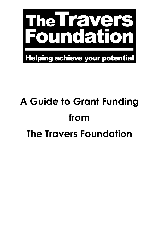

# **A Guide to Grant Funding from The Travers Foundation**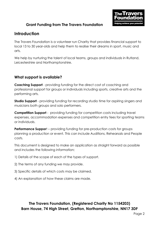

#### **Introduction**

The Travers Foundation is a volunteer run Charity that provides financial support to local 13 to 30 year-olds and help them to realise their dreams in sport, music and arts.

We help by nurturing the talent of local teams, groups and individuals in Rutland, Leicestershire and Northamptonshire.

#### **What support is available?**

**Coaching Support** - providing funding for the direct cost of coaching and professional support for groups or individuals including sports, creative arts and the performing arts.

**Studio Support** - providing funding for recording studio time for aspiring singers and musicians both groups and solo performers.

**Competition Support** - providing funding for competition costs including travel expenses, accommodation expenses and competition entry fees for sporting teams or individuals.

**Performance Support** – providing funding for pre-production costs for groups planning a production or event. This can include Auditions, Rehearsals and People costs.

This document is designed to make an application as straight forward as possible and includes the following information;

- 1) Details of the scope of each of the types of support.
- 2) The terms of any funding we may provide.
- 3) Specific details of which costs may be claimed.
- 4) An explanation of how these claims are made.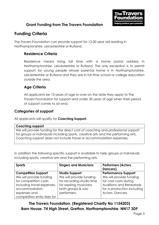

## **Funding Criteria**

The Travers Foundation can provide support for 13-30 year old residing in Northamptonshire, Leicestershire or Rutland.

#### **Residence Criteria**

Residence means living full time with a home postal address in Northamptonshire, Leicestershire or Rutland. The only exception is to permit support for young people whose parental home is in Northamptonshire, Leicestershire or Rutland and they are in full time school or college education outside the area.

#### **Age Criteria**

All applicants be 13 years of age or over on the date they apply to The Travers Foundation for support and under 30 years of age when their period of support comes to an end.

#### **Categories of support**

All applicants will qualify for **Coaching Support.**

| <b>Coaching support</b>                                                                                                                                                                                                                       |
|-----------------------------------------------------------------------------------------------------------------------------------------------------------------------------------------------------------------------------------------------|
| We will provide funding for the direct cost of coaching and professional support<br>for groups or individuals including sports, creative arts and the performing arts.<br>Coaching support does not include travel or accommodation expenses. |

In addition the following specific support is available to help groups or individuals including sports, creative arts and the performing arts.

| <b>Sports</b>              | <b>Singers and Musicians</b> | <b>Performers (Actors,</b><br>Dancers) |
|----------------------------|------------------------------|----------------------------------------|
| <b>Competition Support</b> | <b>Studio Support</b>        | <b>Performance Support</b>             |
| We will provide funding    | We will provide funding      | We will provide funding                |
| for competition costs      | for recording studio time    | for cast costs during                  |
| including travel expenses, | for aspiring musicians       | Auditions and Rehearsals               |
| accommodation              | both groups & solo           | for a production including             |
| expenses and               | performers.                  | Actors, Dancers.                       |
| competition entry fees for |                              |                                        |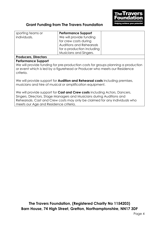

| sporting teams or<br>individuals.                                                                                                                                                                         | <b>Performance Support</b><br>We will provide funding |  |
|-----------------------------------------------------------------------------------------------------------------------------------------------------------------------------------------------------------|-------------------------------------------------------|--|
|                                                                                                                                                                                                           | for crew costs during                                 |  |
|                                                                                                                                                                                                           | <b>Auditions and Rehearsals</b>                       |  |
|                                                                                                                                                                                                           | for a production including                            |  |
|                                                                                                                                                                                                           | Musicians and Singers.                                |  |
| <b>Producers, Directors</b>                                                                                                                                                                               |                                                       |  |
| <b>Performance Support</b><br>We will provide funding for pre-production costs for groups planning a production<br>or event which is led by a figurehead or Producer who meets our Residence<br>criteria. |                                                       |  |
| We will provide support for <b>Audition and Rehearsal costs</b> including premises,<br>musicians and hire of musical or amplification equipment.                                                          |                                                       |  |
|                                                                                                                                                                                                           |                                                       |  |

We will provide support for **Cast and Crew costs** including Actors, Dancers, Singers, Directors, Stage Managers and Musicians during Auditions and Rehearsals. Cast and Crew costs may only be claimed for any individuals who meets our Age and Residence criteria.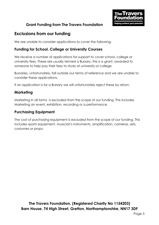

# **Exclusions from our funding**

We are unable to consider applications to cover the following;

#### **Funding for School, College or University Courses**

We receive a number of applications for support to cover school, college or university fees. These are usually termed a Bursary, this is a grant, awarded to someone to help pay their fees to study at university or college.

Bursaries, unfortunately, fall outside our terms of reference and we are unable to consider these applications.

If an application is for a Bursary we will unfortunately reject these by return.

#### **Marketing**

Marketing in all forms is excluded from the scope of our funding. This includes Marketing an event, exhibition, recording or a performance.

#### **Purchasing Equipment**

The cost of purchasing equipment is excluded from the scope of our funding. This includes sports equipment, musician's instruments, amplification, cameras, sets, costumes or props.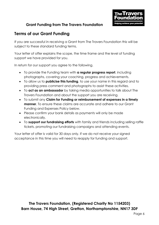

# **Terms of our Grant Funding**

If you are successful in receiving a Grant from The Travers Foundation this will be subject to these standard funding terms.

Your letter of offer explains the scope, the time frame and the level of funding support we have provided for you.

In return for our support you agree to the following.

- To provide the Funding team with **a regular progress report**, including photographs, covering your coaching, progress and achievements.
- To allow us to **publicise this funding**, to use your name in this regard and to providing press comment and photographs to assist these activities.
- To **act as an ambassador** by taking media opportunities to talk about The Travers Foundation and about the support you are receiving.
- To submit any **Claim for Funding or reimbursement of expenses in a timely manner**. To ensure these claims are accurate and adhere to our Grant Funding and Expenses Policy below.
- Please confirm your bank details as payments will only be made electronically.
- To **support our fundraising efforts** with family and friends including selling raffle tickets, promoting our fundraising campaigns and attending events.

Your letter of offer is valid for 30 days only. If we do not receive your signed acceptance in this time you will need to reapply for funding and support.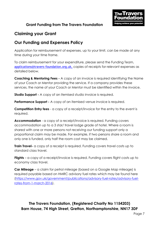

# **Claiming your Grant**

# **Our Funding and Expenses Policy**

Application for reimbursement of expenses, up to your limit, can be made at any time during your time frame.

To claim reimbursement for your expenditure, please send the Funding Team, [applications@travers-foundation.org.uk,](mailto:applications@travers-foundation.org.uk) copies of receipts for relevant expenses as detailed below.

**Coaching & Mentoring Fees -** A copy of an invoice is required identifying the Name of your Coach or Mentor providing the service. If a company provides these services, the name of your Coach or Mentor must be identified within the invoice.

**Studio Support -** A copy of an itemised studio invoice is required.

**Performance Support -** A copy of an itemised venue invoice is required.

**Competition Entry fees** - a copy of a receipt/invoice for the entry to the event is required.

**Accommodation** - a copy of a receipt/invoice is required. Funding covers accommodation up to a 3 star/ travel lodge grade of hotel. Where a room is shared with one or more persons not receiving our funding support only a proportional claim may be made. For example, if two persons share a room and only one is funded, only half the room cost may be claimed.

**Train Travel-** a copy of a receipt is required. Funding covers travel costs up to standard class travel.

**Flights** – a copy of a receipt/invoice is required. Funding covers flight costs up to economy class travel.

**Car Mileage** – a claim for petrol mileage (based on a Google Map mileage) is required payable based on HMRC advisory fuel rates which may be found here [\(https://www.gov.uk/government/publications/advisory-fuel-rates/advisory-fuel](https://www.gov.uk/government/publications/advisory-fuel-rates/advisory-fuel-rates-from-1-march-2016)[rates-from-1-march-2016\)](https://www.gov.uk/government/publications/advisory-fuel-rates/advisory-fuel-rates-from-1-march-2016).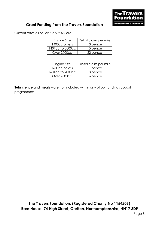

Current rates as of February 2022 are

| Engine Size      | Petrol claim per mile |
|------------------|-----------------------|
| 1400cc or less   | 13 pence              |
| 1401cc to 2000cc | 15 pence              |
| Over 2000cc      | 22 pence              |

| Engine Size      | Diesel claim per mile |
|------------------|-----------------------|
| 1600cc or less   | 11 pence              |
| 1601cc to 2000cc | 13 pence              |
| Over 2000cc      | 16 pence              |

**Subsistence and meals** – are not included within any of our funding support programmes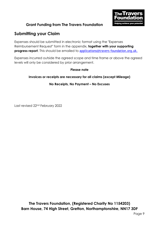

# **Submitting your Claim**

Expenses should be submitted in electronic format using the "Expenses Reimbursement Request" form in the appendix, **together with your supporting progress report**. This should be emailed to [applications@travers-foundation.org.uk.](mailto:applications@travers-foundation.org.uk)

Expenses incurred outside the agreed scope and time frame or above the agreed levels will only be considered by prior arrangement.

#### **Please note**

#### **Invoices or receipts are necessary for all claims (except Mileage)**

#### **No Receipts, No Payment – No Excuses**

Last revised 22nd February 2022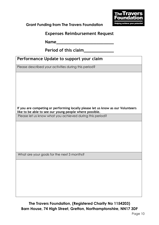**Expenses Reimbursement Request**

**Name** 

**Period of this claim\_\_\_\_\_\_\_\_\_\_\_\_**

# **Performance Update to support your claim**

Please described your activities during this period?

**If you are competing or performing locally please let us know as our Volunteers like to be able to see our young people where possible.**

Please let us know what you achieved during this period?

What are your goals for the next 3 months?